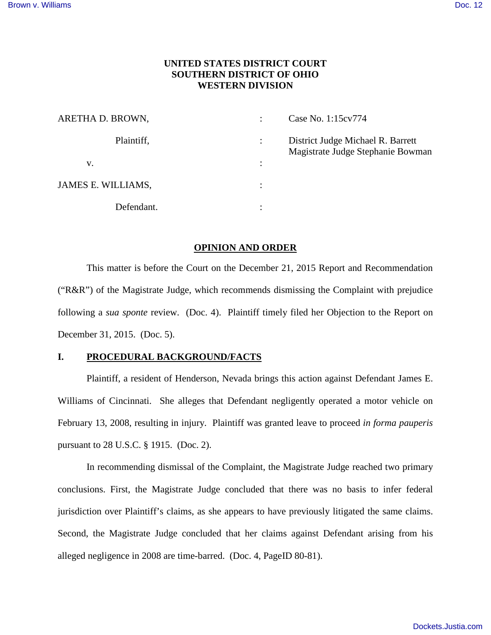# **UNITED STATES DISTRICT COURT SOUTHERN DISTRICT OF OHIO WESTERN DIVISION**

| ARETHA D. BROWN,   |                | Case No. 1:15cv774                                                     |
|--------------------|----------------|------------------------------------------------------------------------|
| Plaintiff,         | $\ddot{\cdot}$ | District Judge Michael R. Barrett<br>Magistrate Judge Stephanie Bowman |
| V.                 | $\ddot{\cdot}$ |                                                                        |
| JAMES E. WILLIAMS, | ٠<br>$\bullet$ |                                                                        |
| Defendant.         | ٠              |                                                                        |

### **OPINION AND ORDER**

This matter is before the Court on the December 21, 2015 Report and Recommendation ("R&R") of the Magistrate Judge, which recommends dismissing the Complaint with prejudice following a *sua sponte* review. (Doc. 4). Plaintiff timely filed her Objection to the Report on December 31, 2015. (Doc. 5).

# **I. PROCEDURAL BACKGROUND/FACTS**

Plaintiff, a resident of Henderson, Nevada brings this action against Defendant James E. Williams of Cincinnati. She alleges that Defendant negligently operated a motor vehicle on February 13, 2008, resulting in injury. Plaintiff was granted leave to proceed *in forma pauperis* pursuant to 28 U.S.C. § 1915. (Doc. 2).

In recommending dismissal of the Complaint, the Magistrate Judge reached two primary conclusions. First, the Magistrate Judge concluded that there was no basis to infer federal jurisdiction over Plaintiff's claims, as she appears to have previously litigated the same claims. Second, the Magistrate Judge concluded that her claims against Defendant arising from his alleged negligence in 2008 are time-barred. (Doc. 4, PageID 80-81).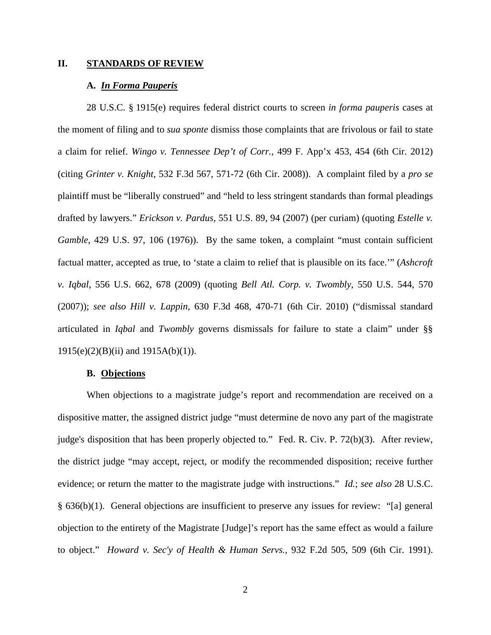#### **II. STANDARDS OF REVIEW**

### **A.** *In Forma Pauperis*

28 U.S.C. § 1915(e) requires federal district courts to screen *in forma pauperis* cases at the moment of filing and to *sua sponte* dismiss those complaints that are frivolous or fail to state a claim for relief. *Wingo v. Tennessee Dep't of Corr.*, 499 F. App'x 453, 454 (6th Cir. 2012) (citing *Grinter v. Knight*, 532 F.3d 567, 571-72 (6th Cir. 2008)). A complaint filed by a *pro se* plaintiff must be "liberally construed" and "held to less stringent standards than formal pleadings drafted by lawyers." *Erickson v. Pardus*, 551 U.S. 89, 94 (2007) (per curiam) (quoting *Estelle v. Gamble*, 429 U.S. 97, 106 (1976)). By the same token, a complaint "must contain sufficient factual matter, accepted as true, to 'state a claim to relief that is plausible on its face.'" (*Ashcroft v. Iqbal*, 556 U.S. 662, 678 (2009) (quoting *Bell Atl. Corp. v. Twombly*, 550 U.S. 544, 570 (2007)); *see also Hill v. Lappin*, 630 F.3d 468, 470-71 (6th Cir. 2010) ("dismissal standard articulated in *Iqbal* and *Twombly* governs dismissals for failure to state a claim" under §§ 1915(e)(2)(B)(ii) and 1915A(b)(1)).

### **B. Objections**

When objections to a magistrate judge's report and recommendation are received on a dispositive matter, the assigned district judge "must determine de novo any part of the magistrate judge's disposition that has been properly objected to." Fed. R. Civ. P. 72(b)(3). After review, the district judge "may accept, reject, or modify the recommended disposition; receive further evidence; or return the matter to the magistrate judge with instructions." *Id.*; *see also* 28 U.S.C. § 636(b)(1). General objections are insufficient to preserve any issues for review: "[a] general objection to the entirety of the Magistrate [Judge]'s report has the same effect as would a failure to object." *Howard v. Sec'y of Health & Human Servs.*, 932 F.2d 505, 509 (6th Cir. 1991).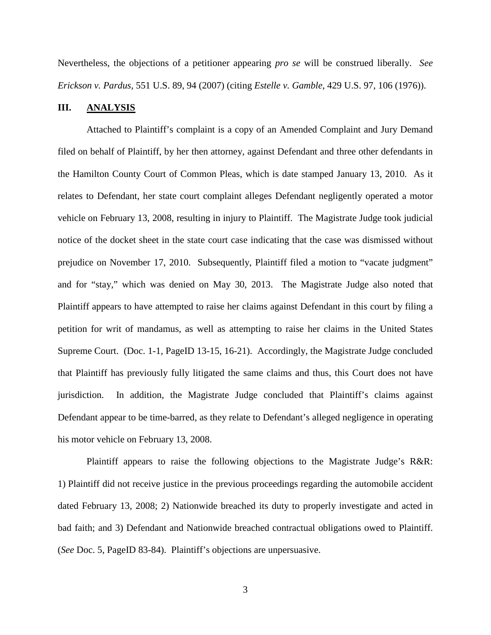Nevertheless, the objections of a petitioner appearing *pro se* will be construed liberally. *See Erickson v. Pardus,* 551 U.S. 89, 94 (2007) (citing *Estelle v. Gamble*, 429 U.S. 97, 106 (1976)).

## **III. ANALYSIS**

Attached to Plaintiff's complaint is a copy of an Amended Complaint and Jury Demand filed on behalf of Plaintiff, by her then attorney, against Defendant and three other defendants in the Hamilton County Court of Common Pleas, which is date stamped January 13, 2010. As it relates to Defendant, her state court complaint alleges Defendant negligently operated a motor vehicle on February 13, 2008, resulting in injury to Plaintiff. The Magistrate Judge took judicial notice of the docket sheet in the state court case indicating that the case was dismissed without prejudice on November 17, 2010. Subsequently, Plaintiff filed a motion to "vacate judgment" and for "stay," which was denied on May 30, 2013. The Magistrate Judge also noted that Plaintiff appears to have attempted to raise her claims against Defendant in this court by filing a petition for writ of mandamus, as well as attempting to raise her claims in the United States Supreme Court. (Doc. 1-1, PageID 13-15, 16-21). Accordingly, the Magistrate Judge concluded that Plaintiff has previously fully litigated the same claims and thus, this Court does not have jurisdiction. In addition, the Magistrate Judge concluded that Plaintiff's claims against Defendant appear to be time-barred, as they relate to Defendant's alleged negligence in operating his motor vehicle on February 13, 2008.

Plaintiff appears to raise the following objections to the Magistrate Judge's R&R: 1) Plaintiff did not receive justice in the previous proceedings regarding the automobile accident dated February 13, 2008; 2) Nationwide breached its duty to properly investigate and acted in bad faith; and 3) Defendant and Nationwide breached contractual obligations owed to Plaintiff. (*See* Doc. 5, PageID 83-84). Plaintiff's objections are unpersuasive.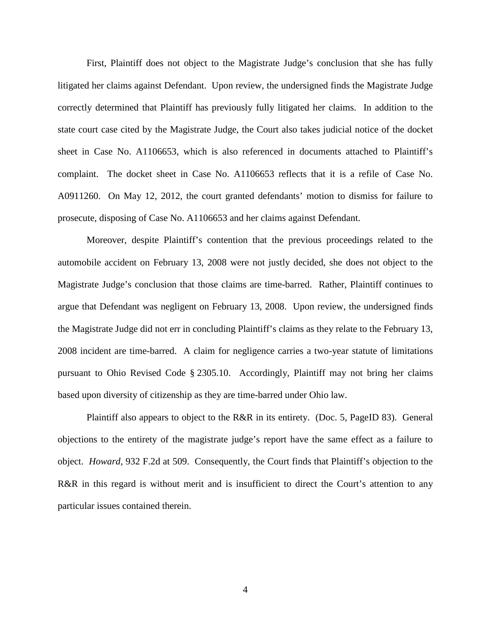First, Plaintiff does not object to the Magistrate Judge's conclusion that she has fully litigated her claims against Defendant. Upon review, the undersigned finds the Magistrate Judge correctly determined that Plaintiff has previously fully litigated her claims. In addition to the state court case cited by the Magistrate Judge, the Court also takes judicial notice of the docket sheet in Case No. A1106653, which is also referenced in documents attached to Plaintiff's complaint. The docket sheet in Case No. A1106653 reflects that it is a refile of Case No. A0911260. On May 12, 2012, the court granted defendants' motion to dismiss for failure to prosecute, disposing of Case No. A1106653 and her claims against Defendant.

Moreover, despite Plaintiff's contention that the previous proceedings related to the automobile accident on February 13, 2008 were not justly decided, she does not object to the Magistrate Judge's conclusion that those claims are time-barred. Rather, Plaintiff continues to argue that Defendant was negligent on February 13, 2008. Upon review, the undersigned finds the Magistrate Judge did not err in concluding Plaintiff's claims as they relate to the February 13, 2008 incident are time-barred. A claim for negligence carries a two-year statute of limitations pursuant to Ohio Revised Code § 2305.10. Accordingly, Plaintiff may not bring her claims based upon diversity of citizenship as they are time-barred under Ohio law.

Plaintiff also appears to object to the R&R in its entirety. (Doc. 5, PageID 83). General objections to the entirety of the magistrate judge's report have the same effect as a failure to object. *Howard*, 932 F.2d at 509. Consequently, the Court finds that Plaintiff's objection to the R&R in this regard is without merit and is insufficient to direct the Court's attention to any particular issues contained therein.